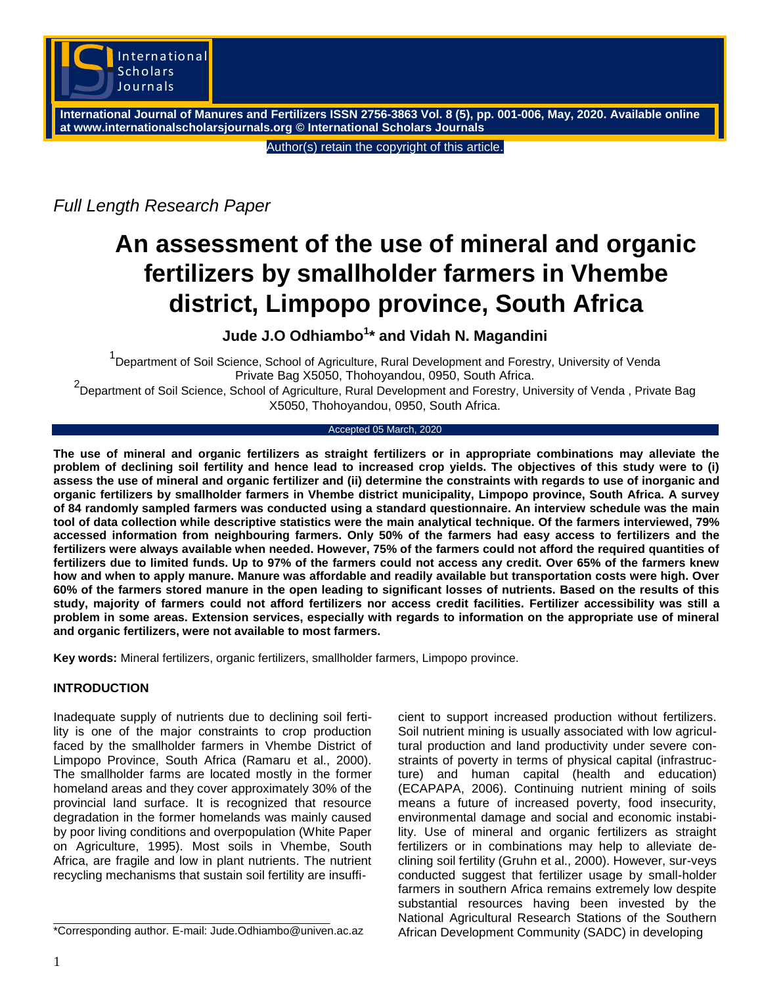

**International Journal of Manures and Fertilizers ISSN 2756-3863 Vol. 8 (5), pp. 001-006, May, 2020. Available online at www.internationalscholarsjournals.org © International Scholars Journals**

Author(s) retain the copyright of this article.

*Full Length Research Paper*

# **An assessment of the use of mineral and organic fertilizers by smallholder farmers in Vhembe district, Limpopo province, South Africa**

**Jude J.O Odhiambo<sup>1</sup> \* and Vidah N. Magandini**

<sup>1</sup>Department of Soil Science, School of Agriculture, Rural Development and Forestry, University of Venda Private Bag X5050, Thohoyandou, 0950, South Africa.

2 Department of Soil Science, School of Agriculture, Rural Development and Forestry, University of Venda , Private Bag X5050, Thohoyandou, 0950, South Africa.

#### Accepted 05 March, 2020

**The use of mineral and organic fertilizers as straight fertilizers or in appropriate combinations may alleviate the problem of declining soil fertility and hence lead to increased crop yields. The objectives of this study were to (i) assess the use of mineral and organic fertilizer and (ii) determine the constraints with regards to use of inorganic and organic fertilizers by smallholder farmers in Vhembe district municipality, Limpopo province, South Africa. A survey of 84 randomly sampled farmers was conducted using a standard questionnaire. An interview schedule was the main tool of data collection while descriptive statistics were the main analytical technique. Of the farmers interviewed, 79% accessed information from neighbouring farmers. Only 50% of the farmers had easy access to fertilizers and the fertilizers were always available when needed. However, 75% of the farmers could not afford the required quantities of fertilizers due to limited funds. Up to 97% of the farmers could not access any credit. Over 65% of the farmers knew how and when to apply manure. Manure was affordable and readily available but transportation costs were high. Over 60% of the farmers stored manure in the open leading to significant losses of nutrients. Based on the results of this study, majority of farmers could not afford fertilizers nor access credit facilities. Fertilizer accessibility was still a problem in some areas. Extension services, especially with regards to information on the appropriate use of mineral and organic fertilizers, were not available to most farmers.**

**Key words:** Mineral fertilizers, organic fertilizers, smallholder farmers, Limpopo province.

## **INTRODUCTION**

Inadequate supply of nutrients due to declining soil fertility is one of the major constraints to crop production faced by the smallholder farmers in Vhembe District of Limpopo Province, South Africa (Ramaru et al., 2000). The smallholder farms are located mostly in the former homeland areas and they cover approximately 30% of the provincial land surface. It is recognized that resource degradation in the former homelands was mainly caused by poor living conditions and overpopulation (White Paper on Agriculture, 1995). Most soils in Vhembe, South Africa, are fragile and low in plant nutrients. The nutrient recycling mechanisms that sustain soil fertility are insuffi-

\*Corresponding author. E-mail: Jude.Odhiambo@univen.ac.az

cient to support increased production without fertilizers. Soil nutrient mining is usually associated with low agricultural production and land productivity under severe constraints of poverty in terms of physical capital (infrastructure) and human capital (health and education) (ECAPAPA, 2006). Continuing nutrient mining of soils means a future of increased poverty, food insecurity, environmental damage and social and economic instability. Use of mineral and organic fertilizers as straight fertilizers or in combinations may help to alleviate declining soil fertility (Gruhn et al., 2000). However, sur-veys conducted suggest that fertilizer usage by small-holder farmers in southern Africa remains extremely low despite substantial resources having been invested by the National Agricultural Research Stations of the Southern African Development Community (SADC) in developing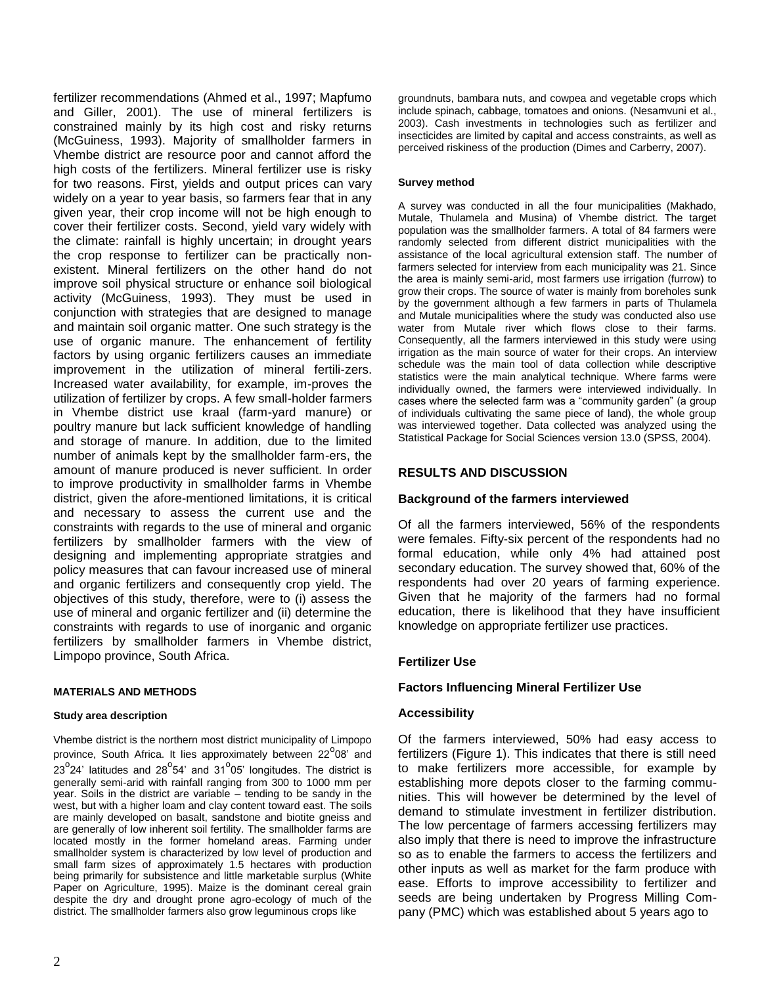fertilizer recommendations (Ahmed et al., 1997; Mapfumo and Giller, 2001). The use of mineral fertilizers is constrained mainly by its high cost and risky returns (McGuiness, 1993). Majority of smallholder farmers in Vhembe district are resource poor and cannot afford the high costs of the fertilizers. Mineral fertilizer use is risky for two reasons. First, yields and output prices can vary widely on a year to year basis, so farmers fear that in any given year, their crop income will not be high enough to cover their fertilizer costs. Second, yield vary widely with the climate: rainfall is highly uncertain; in drought years the crop response to fertilizer can be practically nonexistent. Mineral fertilizers on the other hand do not improve soil physical structure or enhance soil biological activity (McGuiness, 1993). They must be used in conjunction with strategies that are designed to manage and maintain soil organic matter. One such strategy is the use of organic manure. The enhancement of fertility factors by using organic fertilizers causes an immediate improvement in the utilization of mineral fertili-zers. Increased water availability, for example, im-proves the utilization of fertilizer by crops. A few small-holder farmers in Vhembe district use kraal (farm-yard manure) or poultry manure but lack sufficient knowledge of handling and storage of manure. In addition, due to the limited number of animals kept by the smallholder farm-ers, the amount of manure produced is never sufficient. In order to improve productivity in smallholder farms in Vhembe district, given the afore-mentioned limitations, it is critical and necessary to assess the current use and the constraints with regards to the use of mineral and organic fertilizers by smallholder farmers with the view of designing and implementing appropriate stratgies and policy measures that can favour increased use of mineral and organic fertilizers and consequently crop yield. The objectives of this study, therefore, were to (i) assess the use of mineral and organic fertilizer and (ii) determine the constraints with regards to use of inorganic and organic fertilizers by smallholder farmers in Vhembe district, Limpopo province, South Africa.

## **MATERIALS AND METHODS**

#### **Study area description**

Vhembe district is the northern most district municipality of Limpopo province, South Africa. It lies approximately between 22<sup>°</sup>08' and  $23^{\circ}$ 24' latitudes and 28 $^{\circ}$ 54' and 31 $^{\circ}$ 05' longitudes. The district is generally semi-arid with rainfall ranging from 300 to 1000 mm per year. Soils in the district are variable – tending to be sandy in the west, but with a higher loam and clay content toward east. The soils are mainly developed on basalt, sandstone and biotite gneiss and are generally of low inherent soil fertility. The smallholder farms are located mostly in the former homeland areas. Farming under smallholder system is characterized by low level of production and small farm sizes of approximately 1.5 hectares with production being primarily for subsistence and little marketable surplus (White Paper on Agriculture, 1995). Maize is the dominant cereal grain despite the dry and drought prone agro-ecology of much of the district. The smallholder farmers also grow leguminous crops like

groundnuts, bambara nuts, and cowpea and vegetable crops which include spinach, cabbage, tomatoes and onions. (Nesamvuni et al., 2003). Cash investments in technologies such as fertilizer and insecticides are limited by capital and access constraints, as well as perceived riskiness of the production (Dimes and Carberry, 2007).

#### **Survey method**

A survey was conducted in all the four municipalities (Makhado, Mutale, Thulamela and Musina) of Vhembe district. The target population was the smallholder farmers. A total of 84 farmers were randomly selected from different district municipalities with the assistance of the local agricultural extension staff. The number of farmers selected for interview from each municipality was 21. Since the area is mainly semi-arid, most farmers use irrigation (furrow) to grow their crops. The source of water is mainly from boreholes sunk by the government although a few farmers in parts of Thulamela and Mutale municipalities where the study was conducted also use water from Mutale river which flows close to their farms. Consequently, all the farmers interviewed in this study were using irrigation as the main source of water for their crops. An interview schedule was the main tool of data collection while descriptive statistics were the main analytical technique. Where farms were individually owned, the farmers were interviewed individually. In cases where the selected farm was a "community garden" (a group of individuals cultivating the same piece of land), the whole group was interviewed together. Data collected was analyzed using the Statistical Package for Social Sciences version 13.0 (SPSS, 2004).

## **RESULTS AND DISCUSSION**

#### **Background of the farmers interviewed**

Of all the farmers interviewed, 56% of the respondents were females. Fifty-six percent of the respondents had no formal education, while only 4% had attained post secondary education. The survey showed that, 60% of the respondents had over 20 years of farming experience. Given that he majority of the farmers had no formal education, there is likelihood that they have insufficient knowledge on appropriate fertilizer use practices.

## **Fertilizer Use**

## **Factors Influencing Mineral Fertilizer Use**

## **Accessibility**

Of the farmers interviewed, 50% had easy access to fertilizers (Figure 1). This indicates that there is still need to make fertilizers more accessible, for example by establishing more depots closer to the farming communities. This will however be determined by the level of demand to stimulate investment in fertilizer distribution. The low percentage of farmers accessing fertilizers may also imply that there is need to improve the infrastructure so as to enable the farmers to access the fertilizers and other inputs as well as market for the farm produce with ease. Efforts to improve accessibility to fertilizer and seeds are being undertaken by Progress Milling Company (PMC) which was established about 5 years ago to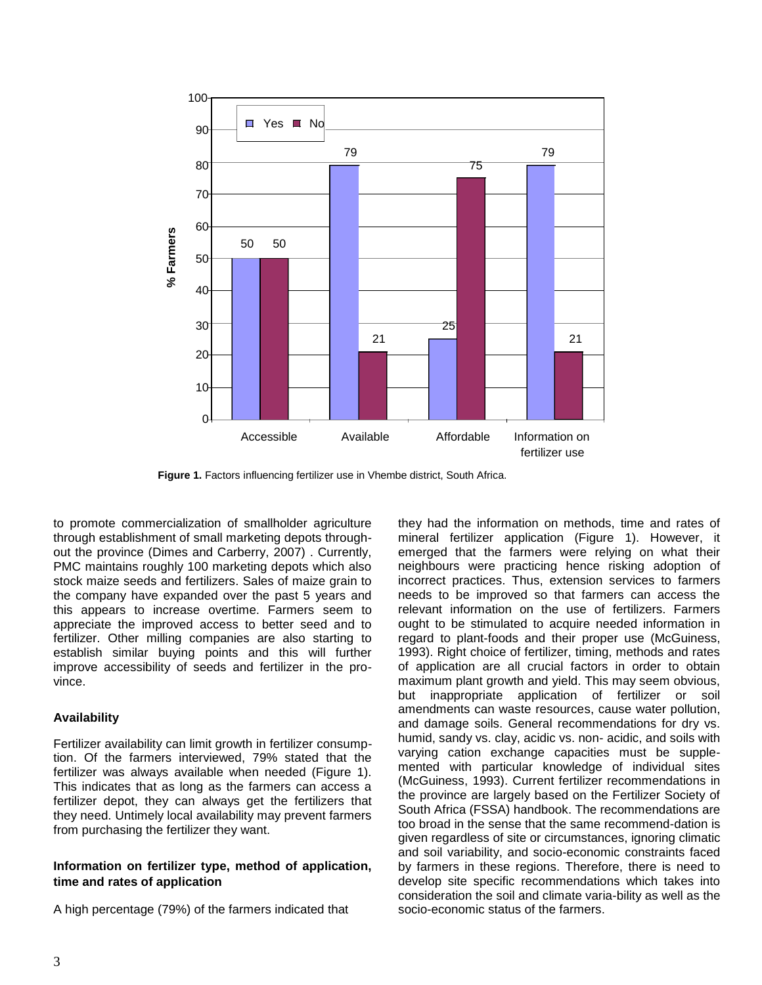

**Figure 1.** Factors influencing fertilizer use in Vhembe district, South Africa.

to promote commercialization of smallholder agriculture through establishment of small marketing depots throughout the province (Dimes and Carberry, 2007) . Currently, PMC maintains roughly 100 marketing depots which also stock maize seeds and fertilizers. Sales of maize grain to the company have expanded over the past 5 years and this appears to increase overtime. Farmers seem to appreciate the improved access to better seed and to fertilizer. Other milling companies are also starting to establish similar buying points and this will further improve accessibility of seeds and fertilizer in the province.

## **Availability**

Fertilizer availability can limit growth in fertilizer consumption. Of the farmers interviewed, 79% stated that the fertilizer was always available when needed (Figure 1). This indicates that as long as the farmers can access a fertilizer depot, they can always get the fertilizers that they need. Untimely local availability may prevent farmers from purchasing the fertilizer they want.

## **Information on fertilizer type, method of application, time and rates of application**

A high percentage (79%) of the farmers indicated that

they had the information on methods, time and rates of mineral fertilizer application (Figure 1). However, it emerged that the farmers were relying on what their neighbours were practicing hence risking adoption of incorrect practices. Thus, extension services to farmers needs to be improved so that farmers can access the relevant information on the use of fertilizers. Farmers ought to be stimulated to acquire needed information in regard to plant-foods and their proper use (McGuiness, 1993). Right choice of fertilizer, timing, methods and rates of application are all crucial factors in order to obtain maximum plant growth and yield. This may seem obvious, but inappropriate application of fertilizer or soil amendments can waste resources, cause water pollution, and damage soils. General recommendations for dry vs. humid, sandy vs. clay, acidic vs. non- acidic, and soils with varying cation exchange capacities must be supplemented with particular knowledge of individual sites (McGuiness, 1993). Current fertilizer recommendations in the province are largely based on the Fertilizer Society of South Africa (FSSA) handbook. The recommendations are too broad in the sense that the same recommend-dation is given regardless of site or circumstances, ignoring climatic and soil variability, and socio-economic constraints faced by farmers in these regions. Therefore, there is need to develop site specific recommendations which takes into consideration the soil and climate varia-bility as well as the socio-economic status of the farmers.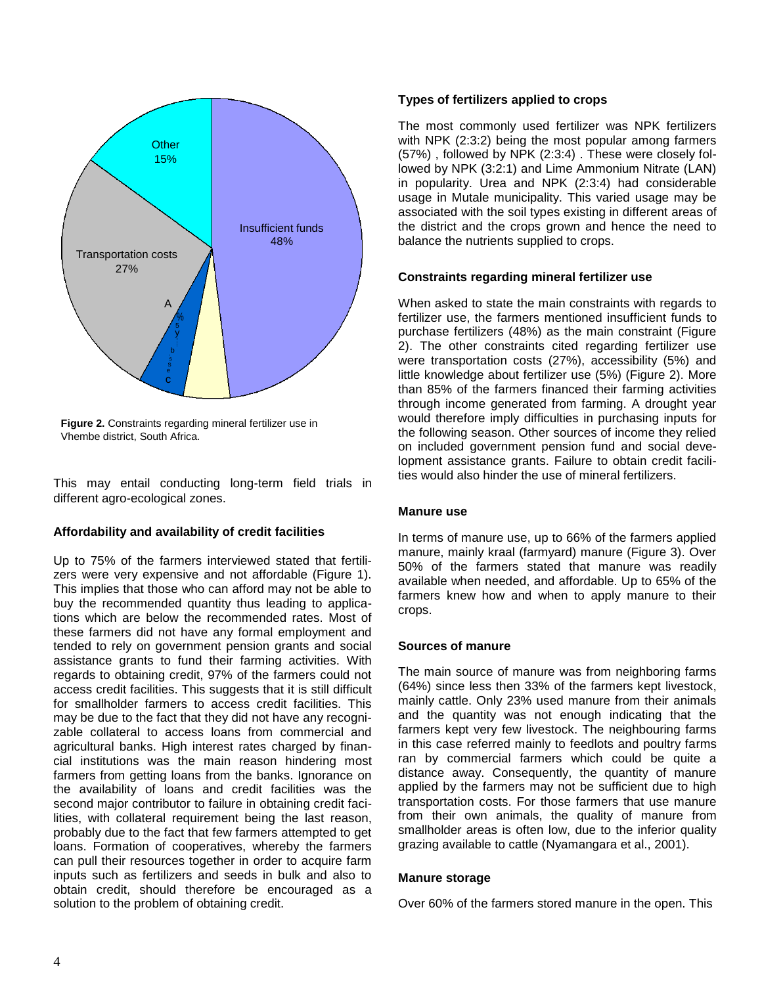

**Figure 2.** Constraints regarding mineral fertilizer use in Vhembe district, South Africa.

This may entail conducting long-term field trials in different agro-ecological zones.

## **Affordability and availability of credit facilities**

Up to 75% of the farmers interviewed stated that fertilizers were very expensive and not affordable (Figure 1). This implies that those who can afford may not be able to buy the recommended quantity thus leading to applications which are below the recommended rates. Most of these farmers did not have any formal employment and tended to rely on government pension grants and social assistance grants to fund their farming activities. With regards to obtaining credit, 97% of the farmers could not access credit facilities. This suggests that it is still difficult for smallholder farmers to access credit facilities. This may be due to the fact that they did not have any recognizable collateral to access loans from commercial and agricultural banks. High interest rates charged by financial institutions was the main reason hindering most farmers from getting loans from the banks. Ignorance on the availability of loans and credit facilities was the second major contributor to failure in obtaining credit facilities, with collateral requirement being the last reason, probably due to the fact that few farmers attempted to get loans. Formation of cooperatives, whereby the farmers can pull their resources together in order to acquire farm inputs such as fertilizers and seeds in bulk and also to obtain credit, should therefore be encouraged as a solution to the problem of obtaining credit.

## **Types of fertilizers applied to crops**

The most commonly used fertilizer was NPK fertilizers with NPK (2:3:2) being the most popular among farmers (57%) , followed by NPK (2:3:4) . These were closely followed by NPK (3:2:1) and Lime Ammonium Nitrate (LAN) in popularity. Urea and NPK (2:3:4) had considerable usage in Mutale municipality. This varied usage may be associated with the soil types existing in different areas of the district and the crops grown and hence the need to balance the nutrients supplied to crops.

## **Constraints regarding mineral fertilizer use**

When asked to state the main constraints with regards to fertilizer use, the farmers mentioned insufficient funds to purchase fertilizers (48%) as the main constraint (Figure 2). The other constraints cited regarding fertilizer use were transportation costs (27%), accessibility (5%) and little knowledge about fertilizer use (5%) (Figure 2). More than 85% of the farmers financed their farming activities through income generated from farming. A drought year would therefore imply difficulties in purchasing inputs for the following season. Other sources of income they relied on included government pension fund and social development assistance grants. Failure to obtain credit facilities would also hinder the use of mineral fertilizers.

## **Manure use**

In terms of manure use, up to 66% of the farmers applied manure, mainly kraal (farmyard) manure (Figure 3). Over 50% of the farmers stated that manure was readily available when needed, and affordable. Up to 65% of the farmers knew how and when to apply manure to their crops.

## **Sources of manure**

The main source of manure was from neighboring farms (64%) since less then 33% of the farmers kept livestock, mainly cattle. Only 23% used manure from their animals and the quantity was not enough indicating that the farmers kept very few livestock. The neighbouring farms in this case referred mainly to feedlots and poultry farms ran by commercial farmers which could be quite a distance away. Consequently, the quantity of manure applied by the farmers may not be sufficient due to high transportation costs. For those farmers that use manure from their own animals, the quality of manure from smallholder areas is often low, due to the inferior quality grazing available to cattle (Nyamangara et al., 2001).

## **Manure storage**

Over 60% of the farmers stored manure in the open. This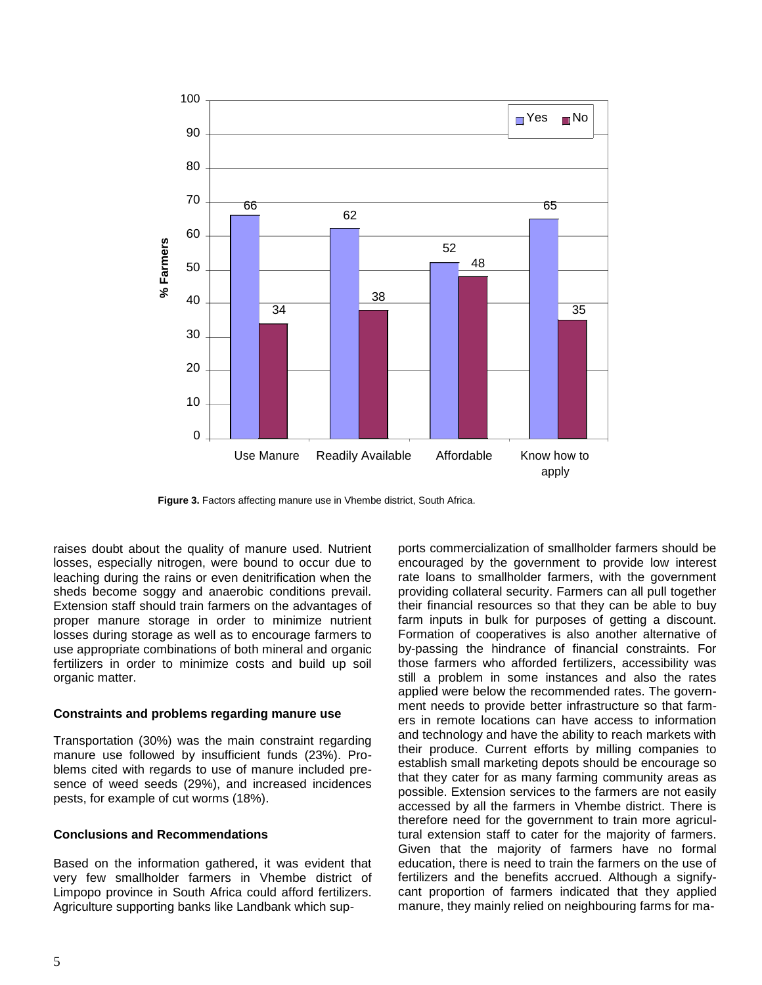

**Figure 3.** Factors affecting manure use in Vhembe district, South Africa.

raises doubt about the quality of manure used. Nutrient losses, especially nitrogen, were bound to occur due to leaching during the rains or even denitrification when the sheds become soggy and anaerobic conditions prevail. Extension staff should train farmers on the advantages of proper manure storage in order to minimize nutrient losses during storage as well as to encourage farmers to use appropriate combinations of both mineral and organic fertilizers in order to minimize costs and build up soil organic matter.

#### **Constraints and problems regarding manure use**

Transportation (30%) was the main constraint regarding manure use followed by insufficient funds (23%). Problems cited with regards to use of manure included presence of weed seeds (29%), and increased incidences pests, for example of cut worms (18%).

## **Conclusions and Recommendations**

Based on the information gathered, it was evident that very few smallholder farmers in Vhembe district of Limpopo province in South Africa could afford fertilizers. Agriculture supporting banks like Landbank which supports commercialization of smallholder farmers should be encouraged by the government to provide low interest rate loans to smallholder farmers, with the government providing collateral security. Farmers can all pull together their financial resources so that they can be able to buy farm inputs in bulk for purposes of getting a discount. Formation of cooperatives is also another alternative of by-passing the hindrance of financial constraints. For those farmers who afforded fertilizers, accessibility was still a problem in some instances and also the rates applied were below the recommended rates. The government needs to provide better infrastructure so that farmers in remote locations can have access to information and technology and have the ability to reach markets with their produce. Current efforts by milling companies to establish small marketing depots should be encourage so that they cater for as many farming community areas as possible. Extension services to the farmers are not easily accessed by all the farmers in Vhembe district. There is therefore need for the government to train more agricultural extension staff to cater for the majority of farmers. Given that the majority of farmers have no formal education, there is need to train the farmers on the use of fertilizers and the benefits accrued. Although a signifycant proportion of farmers indicated that they applied manure, they mainly relied on neighbouring farms for ma